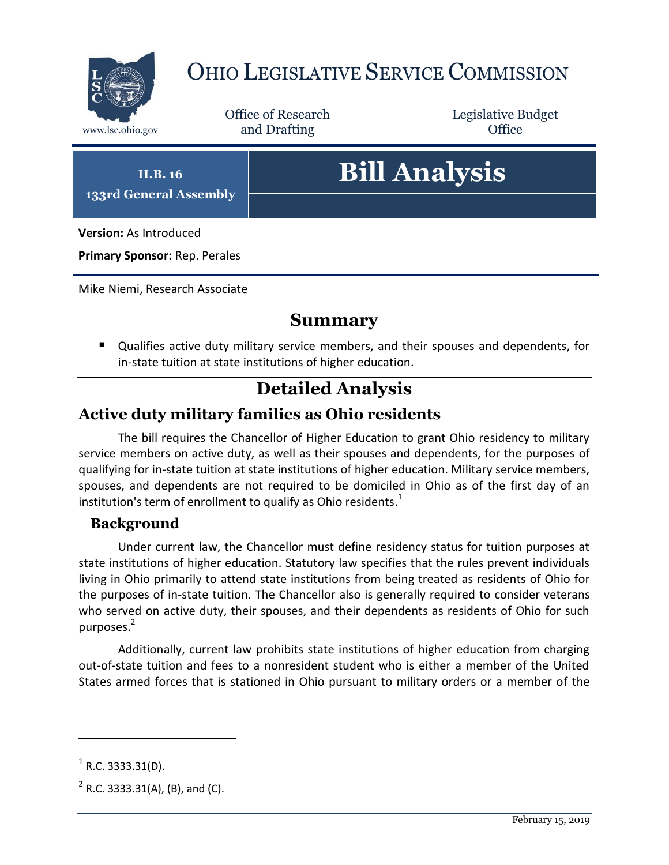

# OHIO LEGISLATIVE SERVICE COMMISSION

Office of Research www.lsc.ohio.gov and Drafting Control Control of Control Control Office

Legislative Budget

**H.B. 16 133rd General Assembly**

# **Bill Analysis**

**Version:** As Introduced

**Primary Sponsor:** Rep. Perales

Mike Niemi, Research Associate

### **Summary**

 Qualifies active duty military service members, and their spouses and dependents, for in-state tuition at state institutions of higher education.

## **Detailed Analysis**

#### **Active duty military families as Ohio residents**

The bill requires the Chancellor of Higher Education to grant Ohio residency to military service members on active duty, as well as their spouses and dependents, for the purposes of qualifying for in-state tuition at state institutions of higher education. Military service members, spouses, and dependents are not required to be domiciled in Ohio as of the first day of an institution's term of enrollment to qualify as Ohio residents. $^1$ 

#### **Background**

Under current law, the Chancellor must define residency status for tuition purposes at state institutions of higher education. Statutory law specifies that the rules prevent individuals living in Ohio primarily to attend state institutions from being treated as residents of Ohio for the purposes of in-state tuition. The Chancellor also is generally required to consider veterans who served on active duty, their spouses, and their dependents as residents of Ohio for such purposes.<sup>2</sup>

Additionally, current law prohibits state institutions of higher education from charging out-of-state tuition and fees to a nonresident student who is either a member of the United States armed forces that is stationed in Ohio pursuant to military orders or a member of the

 $\overline{a}$ 

 $^{1}$  R.C. 3333.31(D).

 $2^2$  R.C. 3333.31(A), (B), and (C).